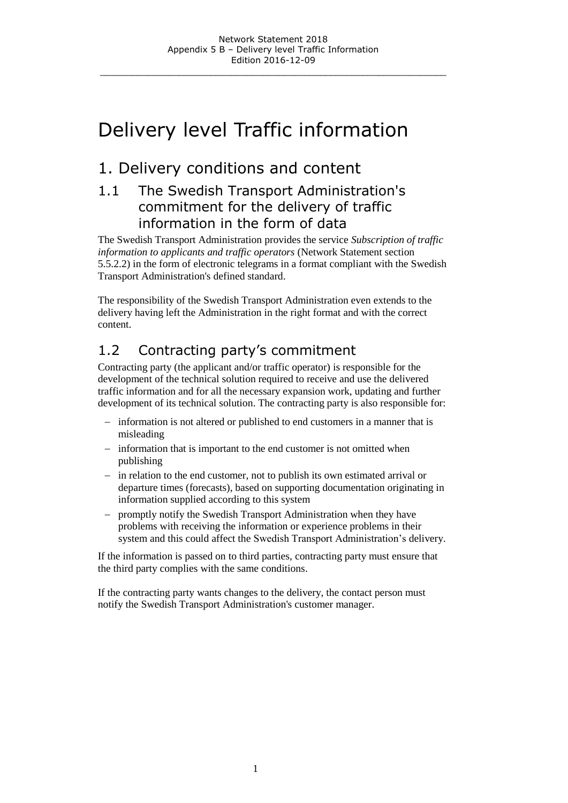# Delivery level Traffic information

# 1. Delivery conditions and content

### 1.1 The Swedish Transport Administration's commitment for the delivery of traffic information in the form of data

The Swedish Transport Administration provides the service *Subscription of traffic information to applicants and traffic operators* (Network Statement section 5.5.2.2) in the form of electronic telegrams in a format compliant with the Swedish Transport Administration's defined standard.

The responsibility of the Swedish Transport Administration even extends to the delivery having left the Administration in the right format and with the correct content.

# 1.2 Contracting party's commitment

Contracting party (the applicant and/or traffic operator) is responsible for the development of the technical solution required to receive and use the delivered traffic information and for all the necessary expansion work, updating and further development of its technical solution. The contracting party is also responsible for:

- information is not altered or published to end customers in a manner that is misleading
- information that is important to the end customer is not omitted when publishing
- in relation to the end customer, not to publish its own estimated arrival or departure times (forecasts), based on supporting documentation originating in information supplied according to this system
- promptly notify the Swedish Transport Administration when they have problems with receiving the information or experience problems in their system and this could affect the Swedish Transport Administration's delivery.

If the information is passed on to third parties, contracting party must ensure that the third party complies with the same conditions.

If the contracting party wants changes to the delivery, the contact person must notify the Swedish Transport Administration's customer manager.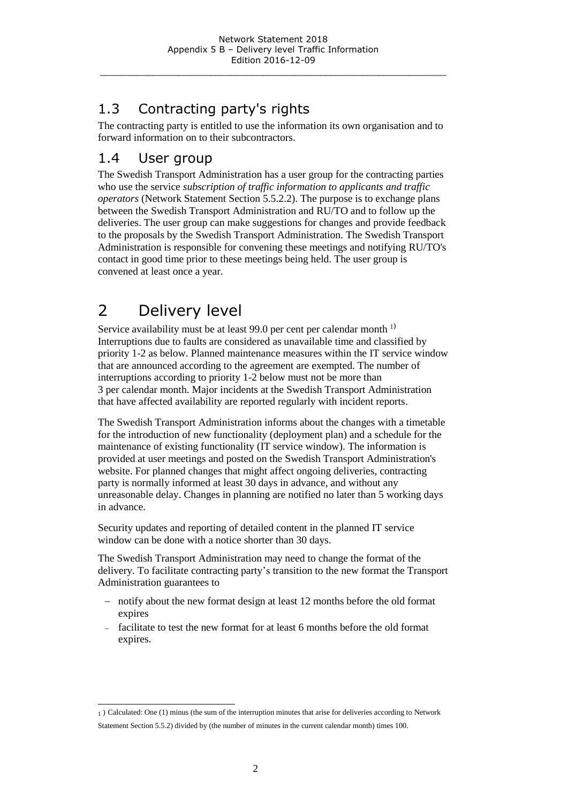# 1.3 Contracting party's rights

The contracting party is entitled to use the information its own organisation and to forward information on to their subcontractors.

### 1.4 User group

The Swedish Transport Administration has a user group for the contracting parties who use the service *subscription of traffic information to applicants and traffic operators* (Network Statement Section 5.5.2.2). The purpose is to exchange plans between the Swedish Transport Administration and RU/TO and to follow up the deliveries. The user group can make suggestions for changes and provide feedback to the proposals by the Swedish Transport Administration. The Swedish Transport Administration is responsible for convening these meetings and notifying RU/TO's contact in good time prior to these meetings being held. The user group is convened at least once a year.

# 2 Delivery level

Service availability must be at least 99.0 per cent per calendar month  $^{1}$ Interruptions due to faults are considered as unavailable time and classified by priority 1-2 as below. Planned maintenance measures within the IT service window that are announced according to the agreement are exempted. The number of interruptions according to priority 1-2 below must not be more than 3 per calendar month. Major incidents at the Swedish Transport Administration that have affected availability are reported regularly with incident reports.

The Swedish Transport Administration informs about the changes with a timetable for the introduction of new functionality (deployment plan) and a schedule for the maintenance of existing functionality (IT service window). The information is provided at user meetings and posted on the Swedish Transport Administration's website. For planned changes that might affect ongoing deliveries, contracting party is normally informed at least 30 days in advance, and without any unreasonable delay. Changes in planning are notified no later than 5 working days in advance.

Security updates and reporting of detailed content in the planned IT service window can be done with a notice shorter than 30 days.

The Swedish Transport Administration may need to change the format of the delivery. To facilitate contracting party's transition to the new format the Transport Administration guarantees to

- notify about the new format design at least 12 months before the old format expires
- facilitate to test the new format for at least 6 months before the old format expires.

l 1 ) Calculated: One (1) minus (the sum of the interruption minutes that arise for deliveries according to Network Statement Section 5.5.2) divided by (the number of minutes in the current calendar month) times 100.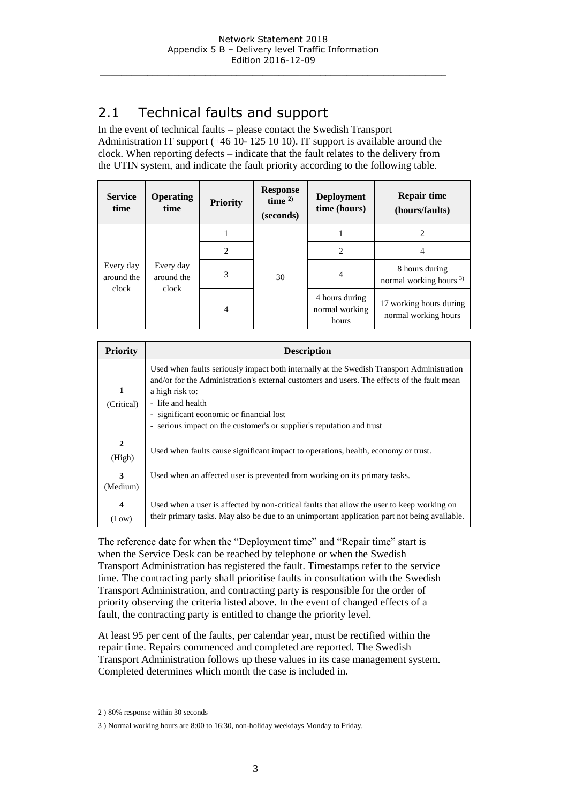## 2.1 Technical faults and support

In the event of technical faults – please contact the Swedish Transport Administration IT support (+46 10- 125 10 10). IT support is available around the clock. When reporting defects – indicate that the fault relates to the delivery from the UTIN system, and indicate the fault priority according to the following table.

| <b>Service</b><br>time           | <b>Operating</b><br>time         | <b>Priority</b> | <b>Response</b><br>time $2$ )<br>(seconds) | <b>Deployment</b><br>time (hours)         | <b>Repair time</b><br>(hours/faults)                 |
|----------------------------------|----------------------------------|-----------------|--------------------------------------------|-------------------------------------------|------------------------------------------------------|
| Every day<br>around the<br>clock | Every day<br>around the<br>clock |                 | 30                                         |                                           |                                                      |
|                                  |                                  | 2               |                                            | 2                                         |                                                      |
|                                  |                                  | 3               |                                            | $\overline{4}$                            | 8 hours during<br>normal working hours <sup>3)</sup> |
|                                  |                                  | $\overline{4}$  |                                            | 4 hours during<br>normal working<br>hours | 17 working hours during<br>normal working hours      |

| <b>Priority</b>                  | <b>Description</b>                                                                                                                                                                                                                                                                                                                                    |  |  |
|----------------------------------|-------------------------------------------------------------------------------------------------------------------------------------------------------------------------------------------------------------------------------------------------------------------------------------------------------------------------------------------------------|--|--|
| 1<br>(Critical)                  | Used when faults seriously impact both internally at the Swedish Transport Administration<br>and/or for the Administration's external customers and users. The effects of the fault mean<br>a high risk to:<br>- life and health<br>- significant economic or financial lost<br>- serious impact on the customer's or supplier's reputation and trust |  |  |
| $\mathbf{2}$<br>(High)           | Used when faults cause significant impact to operations, health, economy or trust.                                                                                                                                                                                                                                                                    |  |  |
| 3<br>(Medium)                    | Used when an affected user is prevented from working on its primary tasks.                                                                                                                                                                                                                                                                            |  |  |
| $\overline{\mathbf{4}}$<br>(Low) | Used when a user is affected by non-critical faults that allow the user to keep working on<br>their primary tasks. May also be due to an unimportant application part not being available.                                                                                                                                                            |  |  |

The reference date for when the "Deployment time" and "Repair time" start is when the Service Desk can be reached by telephone or when the Swedish Transport Administration has registered the fault. Timestamps refer to the service time. The contracting party shall prioritise faults in consultation with the Swedish Transport Administration, and contracting party is responsible for the order of priority observing the criteria listed above. In the event of changed effects of a fault, the contracting party is entitled to change the priority level.

At least 95 per cent of the faults, per calendar year, must be rectified within the repair time. Repairs commenced and completed are reported. The Swedish Transport Administration follows up these values in its case management system. Completed determines which month the case is included in.

l 2 ) 80% response within 30 seconds

<sup>3</sup> ) Normal working hours are 8:00 to 16:30, non-holiday weekdays Monday to Friday.